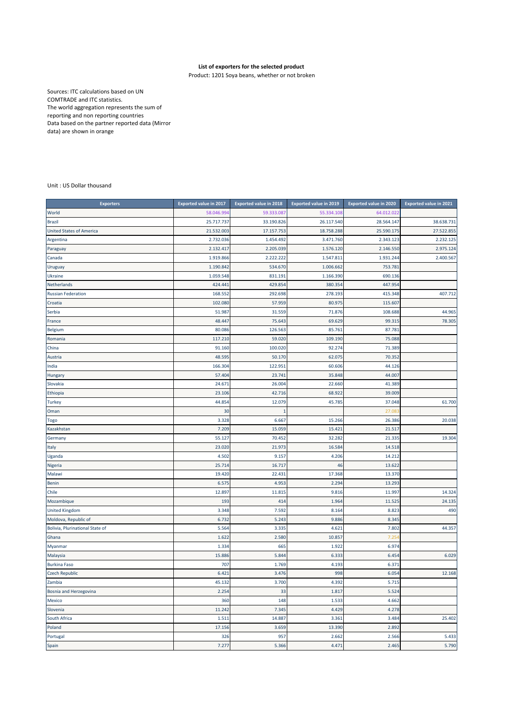## **List of exporters for the selected product**

Product: 1201 Soya beans, whether or not broken

Sources: ITC calculations based on UN COMTRADE and ITC statistics. The world aggregation represents the sum of reporting and non reporting countries Data based on the partner reported data (Mirror data) are shown in orange

Unit : US Dollar thousand

| <b>Exporters</b>                | <b>Exported value in 2017</b> | <b>Exported value in 2018</b> | <b>Exported value in 2019</b> | <b>Exported value in 2020</b> | <b>Exported value in 2021</b> |
|---------------------------------|-------------------------------|-------------------------------|-------------------------------|-------------------------------|-------------------------------|
| World                           | 58.046.99                     | 59.333.08                     | 55.334.108                    | 64.012.022                    |                               |
| <b>Brazil</b>                   | 25.717.737                    | 33.190.826                    | 26.117.540                    | 28.564.147                    | 38.638.731                    |
| <b>United States of America</b> | 21.532.003                    | 17.157.753                    | 18.758.288                    | 25.590.175                    | 27.522.855                    |
| Argentina                       | 2.732.036                     | 1.454.492                     | 3.471.760                     | 2.343.123                     | 2.232.125                     |
| Paraguay                        | 2.132.417                     | 2.205.039                     | 1.576.120                     | 2.146.550                     | 2.975.124                     |
| Canada                          | 1.919.866                     | 2.222.222                     | 1.547.811                     | 1.931.244                     | 2.400.567                     |
| Uruguay                         | 1.190.842                     | 534.670                       | 1.006.662                     | 753.781                       |                               |
| Ukraine                         | 1.059.548                     | 831.191                       | 1.166.390                     | 690.136                       |                               |
| Netherlands                     | 424.441                       | 429.854                       | 380.354                       | 447.954                       |                               |
| <b>Russian Federation</b>       | 168.552                       | 292.698                       | 278.193                       | 415.348                       | 407.712                       |
| Croatia                         | 102.080                       | 57.959                        | 80.975                        | 115.607                       |                               |
| Serbia                          | 51.987                        | 31.559                        | 71.876                        | 108.688                       | 44.965                        |
| France                          | 48.447                        | 75.643                        | 69.629                        | 99.315                        | 78.305                        |
| <b>Belgium</b>                  | 80.086                        | 126.563                       | 85.761                        | 87.781                        |                               |
| Romania                         | 117.210                       | 59.020                        | 109.190                       | 75.088                        |                               |
| China                           | 91.160                        | 100.020                       | 92.274                        | 71.389                        |                               |
| Austria                         | 48.595                        | 50.170                        | 62.075                        | 70.352                        |                               |
| India                           | 166.304                       | 122.951                       | 60.606                        | 44.126                        |                               |
| Hungary                         | 57.404                        | 23.741                        | 35.848                        | 44.007                        |                               |
| Slovakia                        | 24.671                        | 26.004                        | 22.660                        | 41.389                        |                               |
| Ethiopia                        | 23.106                        | 42.716                        | 68.922                        | 39.009                        |                               |
| <b>Turkey</b>                   | 44.854                        | 12.079                        | 45.785                        | 37.048                        | 61.700                        |
| Oman                            | 30                            |                               |                               | 27.08                         |                               |
| Togo                            | 3.328                         | 6.667                         | 15.266                        | 26.386                        | 20.038                        |
| Kazakhstan                      | 7.209                         | 15.059                        | 15.421                        | 21.517                        |                               |
| Germany                         | 55.127                        | 70.452                        | 32.282                        | 21.335                        | 19.304                        |
| Italy                           | 23.020                        | 21.973                        | 16.584                        | 14.518                        |                               |
| Uganda                          | 4.502                         | 9.157                         | 4.206                         | 14.212                        |                               |
| Nigeria                         | 25.714                        | 16.717                        | 46                            | 13.622                        |                               |
| Malawi                          | 19.420                        | 22.431                        | 17.368                        | 13.370                        |                               |
| <b>Benin</b>                    | 6.575                         | 4.953                         | 2.294                         | 13.293                        |                               |
| Chile                           | 12.897                        | 11.815                        | 9.816                         | 11.997                        | 14.324                        |
| Mozambique                      | 193                           | 414                           | 1.964                         | 11.525                        | 24.135                        |
| <b>United Kingdom</b>           | 3.348                         | 7.592                         | 8.164                         | 8.823                         | 490                           |
| Moldova, Republic of            | 6.732                         | 5.243                         | 9.886                         | 8.345                         |                               |
| Bolivia, Plurinational State of | 5.564                         | 3.335                         | 4.621                         | 7.802                         | 44.357                        |
| Ghana                           | 1.622                         | 2.580                         | 10.857                        | 7.25                          |                               |
| Myanmar                         | 1.334                         | 665                           | 1.922                         | 6.974                         |                               |
| Malaysia                        | 15.886                        | 5.844                         | 6.333                         | 6.454                         | 6.029                         |
| <b>Burkina Faso</b>             | 707                           | 1.769                         | 4.193                         | 6.371                         |                               |
| <b>Czech Republic</b>           | 6.421                         | 3.476                         | 998                           | 6.054                         | 12.168                        |
| Zambia                          | 45.132                        | 3.700                         | 4.392                         | 5.715                         |                               |
| Bosnia and Herzegovina          | 2.254                         | 33                            | 1.817                         | 5.524                         |                               |
| <b>Mexico</b>                   | 360                           | 148                           | 1.533                         | 4.662                         |                               |
| Slovenia                        | 11.242                        | 7.345                         | 4.429                         | 4.278                         |                               |
| South Africa                    | 1.511                         | 14.887                        | 3.361                         | 3.484                         | 25.402                        |
| Poland                          | 17.156                        | 3.659                         | 13.390                        | 2.892                         |                               |
| Portugal                        | 326                           | 957                           | 2.662                         | 2.566                         | 5.433                         |
| Spain                           | 7.277                         | 5.366                         | 4.471                         | 2.465                         | 5.790                         |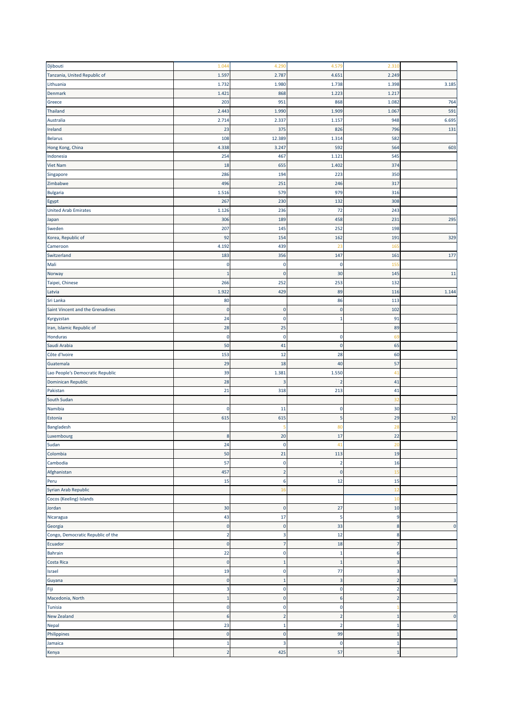| Djibouti                          | 1.044                         | 4.290                   | 4.579          | 2.310                   |              |
|-----------------------------------|-------------------------------|-------------------------|----------------|-------------------------|--------------|
| Tanzania, United Republic of      | 1.597                         | 2.787                   | 4.651          | 2.249                   |              |
| Lithuania                         | 1.732                         | 1.980                   | 1.738          | 1.398                   | 3.185        |
| Denmark                           | 1.421                         | 868                     | 1.223          | 1.217                   |              |
| Greece                            | 203                           | 951                     | 868            | 1.082                   | 764          |
| Thailand                          | 2.443                         | 1.990                   | 1.909          | 1.067                   | 591          |
| Australia                         | 2.714                         | 2.337                   | 1.157          | 948                     | 6.695        |
| Ireland                           | 23                            | 375                     | 826            | 796                     | 131          |
| <b>Belarus</b>                    | 108                           | 12.389                  | 1.314          | 582                     |              |
| Hong Kong, China                  | 4.338                         | 3.247                   | 592            | 564                     | 603          |
| Indonesia                         | 254                           | 467                     | 1.121          | 545                     |              |
| Viet Nam                          | 18                            | 655                     | 1.402          | 374                     |              |
| Singapore                         | 286                           | 194                     | 223            | 350                     |              |
| Zimbabwe                          | 496                           | 251                     | 246            | 317                     |              |
|                                   | 1.516                         | 57 <sub>9</sub>         | 979            | 316                     |              |
| Bulgaria                          | 267                           | 230                     | 132            | 308                     |              |
| Egypt                             |                               | 236                     | 72             | 243                     |              |
| <b>United Arab Emirates</b>       | 1.126                         |                         |                |                         |              |
| Japan                             | 306                           | 189                     | 458            | 231                     | 295          |
| Sweden                            | 207                           | 145                     | 252            | 198                     |              |
| Korea, Republic of                | 92                            | 154                     | 162            | 191                     | 329          |
| Cameroon                          | 4.192                         | 439                     | 23             | 165                     |              |
| Switzerland                       | 183                           | 356                     | 147            | 161                     | 177          |
| Mali                              | $\pmb{0}$                     | 0                       | 0              | 155                     |              |
| Norway                            | $\mathbf{1}$                  | $\mathbf 0$             | 30             | 145                     | 11           |
| Taipei, Chinese                   | 266                           | 252                     | 253            | 132                     |              |
| Latvia                            | 1.922                         | 429                     | 89             | 116                     | 1.144        |
| Sri Lanka                         | 80                            |                         | 86             | 113                     |              |
| Saint Vincent and the Grenadines  | $\mathbf 0$                   | $\mathbf 0$             | $\pmb{0}$      | 102                     |              |
| Kyrgyzstan                        | 24                            | $\mathbf 0$             | $\mathbf{1}$   | 91                      |              |
| Iran, Islamic Republic of         | 28                            | 25                      |                | 89                      |              |
| Honduras                          | $\pmb{0}$                     | $\pmb{0}$               | $\pmb{0}$      | 69                      |              |
| Saudi Arabia                      | 50                            | 41                      | $\pmb{0}$      | 65                      |              |
| Côte d'Ivoire                     | 153                           | 12                      | 28             | 60                      |              |
| Guatemala                         | 29                            | 18                      | 40             | 57                      |              |
| Lao People's Democratic Republic  | 39                            | 1.381                   | 1.550          | 41                      |              |
| Dominican Republic                | 28                            | B                       | $\overline{2}$ | 41                      |              |
| Pakistan                          | 21                            | 318                     | 213            | 41                      |              |
| South Sudan                       |                               |                         |                | 32                      |              |
| Namibia                           | C                             | 11                      | 0              | 30                      |              |
| Estonia                           | 615                           | 615                     | 5              | 29                      | 32           |
| Bangladesh                        |                               |                         | 80             | 28                      |              |
| Luxembourg                        | 8                             | 20                      | 17             | 22                      |              |
| Sudan                             | 24                            | C                       |                | Z.                      |              |
| Colombia                          | 50                            | 21                      | 113            | 19                      |              |
| Cambodia                          | 57                            | $\mathbf 0$             | $\overline{2}$ | 16                      |              |
| Afghanistan                       | 457                           | $\overline{2}$          | $\mathbf 0$    | 15                      |              |
| Peru                              | 15                            | 6                       | 12             | 15                      |              |
| Syrian Arab Republic              |                               | 16                      |                | 12                      |              |
| Cocos (Keeling) Islands           |                               |                         |                | 10                      |              |
| Jordan                            | 30                            | $\mathbf 0$             | 27             | 10                      |              |
| Nicaragua                         | 43                            | 17                      | 5              | 9                       |              |
| Georgia                           | $\pmb{0}$                     | $\pmb{0}$               | 33             | $\bf 8$                 | $\pmb{0}$    |
| Congo, Democratic Republic of the |                               | $\overline{\mathbf{3}}$ |                | $\bf8$                  |              |
| Ecuador                           | $\overline{2}$<br>$\mathbf 0$ | $\overline{7}$          | 12             | $\overline{7}$          |              |
|                                   |                               |                         | 18             | $\boldsymbol{6}$        |              |
| Bahrain                           | 22                            | $\mathbf 0$             | $\mathbf 1$    |                         |              |
| Costa Rica                        | $\pmb{0}$                     | $\overline{1}$          | $\mathbf{1}$   | $\overline{\mathbf{3}}$ |              |
| Israel                            | 19                            | $\mathbf 0$             | 77             | 3                       |              |
| Guyana                            | $\mathbf 0$                   | 1                       | 3              | $\overline{2}$          | 3            |
| Fiji                              | 3                             | $\bf{0}$                | $\bf{0}$       | $\overline{2}$          |              |
| Macedonia, North                  | $\mathbf{1}$                  | $\mathbf 0$             | 6              | $\overline{2}$          |              |
| Tunisia                           | $\pmb{0}$                     | $\mathbf 0$             | $\pmb{0}$      |                         |              |
| New Zealand                       | 6                             | 2                       | $\overline{2}$ | $\mathbf{1}$            | $\mathbf{0}$ |
| Nepal                             | 23                            | 1                       | $\overline{2}$ | $\mathbf{1}$            |              |
| Philippines                       | $\mathbf 0$                   | 0                       | 99             | $\mathbf{1}$            |              |
| Jamaica                           | $\mathbf 1$                   | 3                       | 0              | 1                       |              |
| Kenya                             |                               |                         | 57             |                         |              |